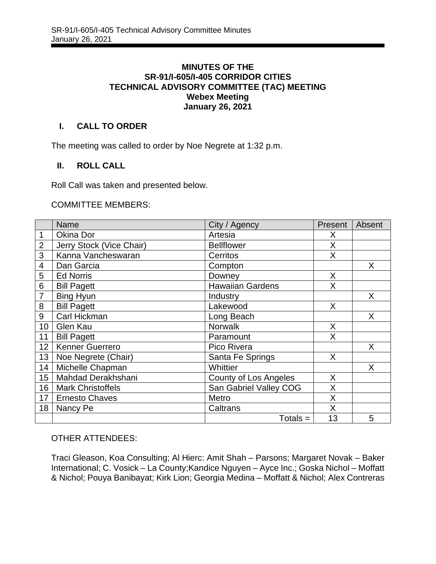### **MINUTES OF THE SR-91/I-605/I-405 CORRIDOR CITIES TECHNICAL ADVISORY COMMITTEE (TAC) MEETING Webex Meeting January 26, 2021**

# **I. CALL TO ORDER**

The meeting was called to order by Noe Negrete at 1:32 p.m.

# **II. ROLL CALL**

Roll Call was taken and presented below.

#### COMMITTEE MEMBERS:

|                 | <b>Name</b>              | City / Agency           | Present | Absent |
|-----------------|--------------------------|-------------------------|---------|--------|
| 1               | Okina Dor                | Artesia                 | X       |        |
| $\overline{2}$  | Jerry Stock (Vice Chair) | <b>Bellflower</b>       | X       |        |
| 3               | Kanna Vancheswaran       | Cerritos                | X       |        |
| $\overline{4}$  | Dan Garcia               | Compton                 |         | X      |
| 5               | <b>Ed Norris</b>         | Downey                  | X       |        |
| 6               | <b>Bill Pagett</b>       | <b>Hawaiian Gardens</b> | X       |        |
| $\overline{7}$  | <b>Bing Hyun</b>         | Industry                |         | X      |
| 8               | <b>Bill Pagett</b>       | Lakewood                | X       |        |
| 9               | Carl Hickman             | Long Beach              |         | X      |
| 10              | Glen Kau                 | <b>Norwalk</b>          | X       |        |
| 11              | <b>Bill Pagett</b>       | Paramount               | X       |        |
| 12              | <b>Kenner Guerrero</b>   | Pico Rivera             |         | X      |
| 13              | Noe Negrete (Chair)      | Santa Fe Springs        | X       |        |
| 14              | Michelle Chapman         | Whittier                |         | X      |
| 15              | Mahdad Derakhshani       | County of Los Angeles   | X       |        |
| 16 <sup>1</sup> | <b>Mark Christoffels</b> | San Gabriel Valley COG  | X       |        |
| 17 <sub>1</sub> | <b>Ernesto Chaves</b>    | Metro                   | X       |        |
| 18              | Nancy Pe                 | Caltrans                | X       |        |
|                 |                          | $Totals =$              | 13      | 5      |

#### OTHER ATTENDEES:

Traci Gleason, Koa Consulting; Al Hierc: Amit Shah – Parsons; Margaret Novak – Baker International; C. Vosick – La County;Kandice Nguyen – Ayce Inc.; Goska Nichol – Moffatt & Nichol; Pouya Banibayat; Kirk Lion; Georgia Medina – Moffatt & Nichol; Alex Contreras